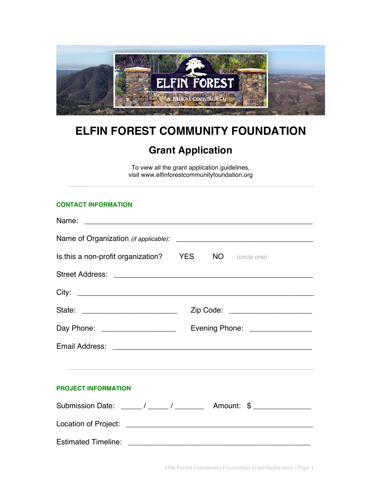

## **ELFIN FOREST COMMUNITY FOUNDATION**

## **Grant Application**

To view all the grant application guidelines, visit www.elfinforestcommunityfoundation.org

## **CONTACT INFORMATION**

| Is this a non-profit organization? YES NO (circle one)          |                                 |  |  |
|-----------------------------------------------------------------|---------------------------------|--|--|
|                                                                 |                                 |  |  |
|                                                                 |                                 |  |  |
|                                                                 | Zip Code: _____________________ |  |  |
| Day Phone: ____________________                                 | Evening Phone: ________________ |  |  |
|                                                                 |                                 |  |  |
|                                                                 |                                 |  |  |
| <b>PROJECT INFORMATION</b>                                      |                                 |  |  |
| Submission Date: _____/ _____/ ________ Amount: \$ ____________ |                                 |  |  |
|                                                                 |                                 |  |  |
|                                                                 |                                 |  |  |

Elfin Forest Community Foundation Grant Application | Page 1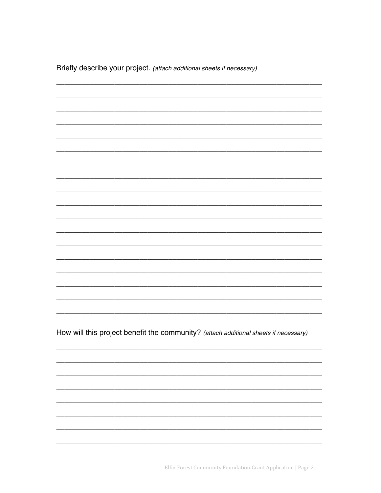Briefly describe your project. (attach additional sheets if necessary)

How will this project benefit the community? (attach additional sheets if necessary)

Elfin Forest Community Foundation Grant Application | Page 2